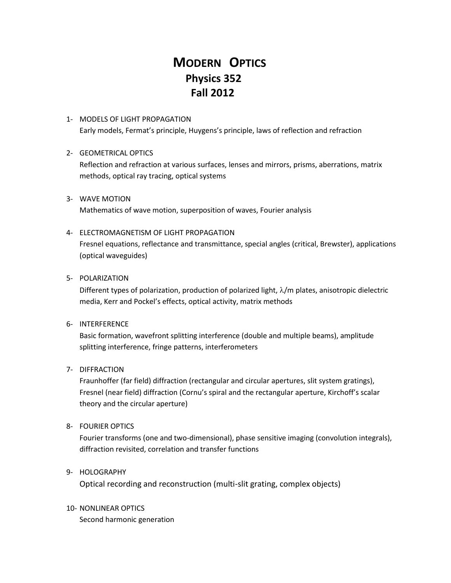# **MODERN OPTICS Physics 352 Fall 2012**

1- MODELS OF LIGHT PROPAGATION Early models, Fermat's principle, Huygens's principle, laws of reflection and refraction

## 2- GEOMETRICAL OPTICS

Reflection and refraction at various surfaces, lenses and mirrors, prisms, aberrations, matrix methods, optical ray tracing, optical systems

3- WAVE MOTION Mathematics of wave motion, superposition of waves, Fourier analysis

### 4- ELECTROMAGNETISM OF LIGHT PROPAGATION

Fresnel equations, reflectance and transmittance, special angles (critical, Brewster), applications (optical waveguides)

#### 5- POLARIZATION

Different types of polarization, production of polarized light,  $\lambda/m$  plates, anisotropic dielectric media, Kerr and Pockel's effects, optical activity, matrix methods

#### 6- INTERFERENCE

Basic formation, wavefront splitting interference (double and multiple beams), amplitude splitting interference, fringe patterns, interferometers

## 7- DIFFRACTION

Fraunhoffer (far field) diffraction (rectangular and circular apertures, slit system gratings), Fresnel (near field) diffraction (Cornu's spiral and the rectangular aperture, Kirchoff's scalar theory and the circular aperture)

## 8- FOURIER OPTICS

Fourier transforms (one and two-dimensional), phase sensitive imaging (convolution integrals), diffraction revisited, correlation and transfer functions

## 9- HOLOGRAPHY

Optical recording and reconstruction (multi-slit grating, complex objects)

## 10- NONLINEAR OPTICS

Second harmonic generation